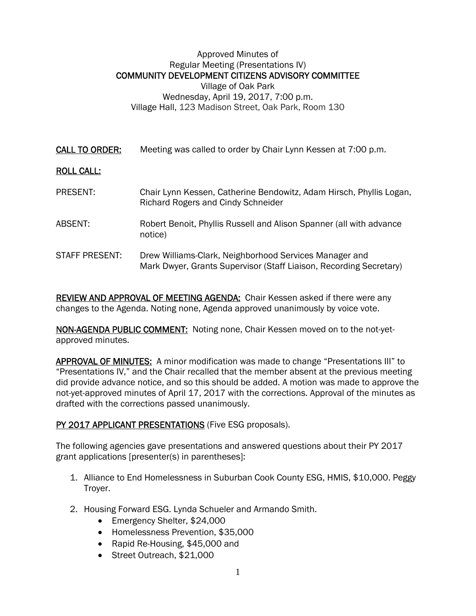## Approved Minutes of Regular Meeting (Presentations IV) COMMUNITY DEVELOPMENT CITIZENS ADVISORY COMMITTEE Village of Oak Park Wednesday, April 19, 2017, 7:00 p.m. Village Hall, 123 Madison Street, Oak Park, Room 130

CALL TO ORDER: Meeting was called to order by Chair Lynn Kessen at 7:00 p.m.

## ROLL CALL:

- PRESENT: Chair Lynn Kessen, Catherine Bendowitz, Adam Hirsch, Phyllis Logan, Richard Rogers and Cindy Schneider ABSENT: Robert Benoit, Phyllis Russell and Alison Spanner (all with advance notice)
- STAFF PRESENT: Drew Williams-Clark, Neighborhood Services Manager and Mark Dwyer, Grants Supervisor (Staff Liaison, Recording Secretary)

REVIEW AND APPROVAL OF MEETING AGENDA: Chair Kessen asked if there were any changes to the Agenda. Noting none, Agenda approved unanimously by voice vote.

NON-AGENDA PUBLIC COMMENT: Noting none, Chair Kessen moved on to the not-yetapproved minutes.

APPROVAL OF MINUTES: A minor modification was made to change "Presentations III" to "Presentations IV," and the Chair recalled that the member absent at the previous meeting did provide advance notice, and so this should be added. A motion was made to approve the not-yet-approved minutes of April 17, 2017 with the corrections. Approval of the minutes as drafted with the corrections passed unanimously.

## PY 2017 APPLICANT PRESENTATIONS (Five ESG proposals).

The following agencies gave presentations and answered questions about their PY 2017 grant applications [presenter(s) in parentheses]:

- 1. Alliance to End Homelessness in Suburban Cook County ESG, HMIS, \$10,000. Peggy Troyer.
- 2. Housing Forward ESG. Lynda Schueler and Armando Smith.
	- Emergency Shelter, \$24,000
	- Homelessness Prevention, \$35,000
	- Rapid Re-Housing, \$45,000 and
	- Street Outreach, \$21,000